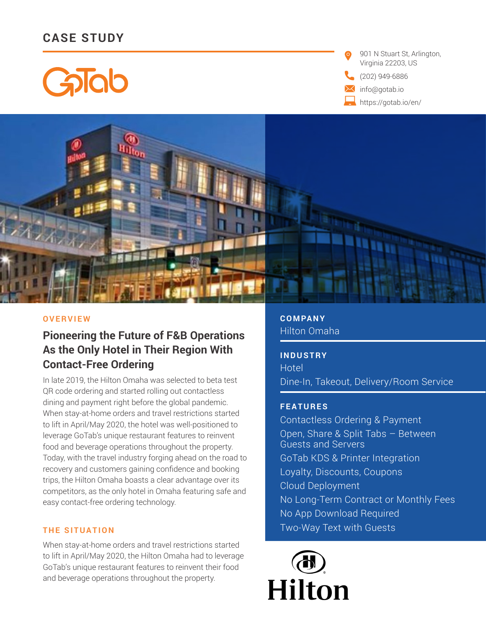# **CASE STUDY**

GaTab

901 N Stuart St, Arlington, Virginia 22203, US

(202) 949-6886

info@gotab.io

https://gotab.io/en/



#### **OVERVIEW**

# **Pioneering the Future of F&B Operations As the Only Hotel in Their Region With Contact-Free Ordering**

In late 2019, the Hilton Omaha was selected to beta test QR code ordering and started rolling out contactless dining and payment right before the global pandemic. When stay-at-home orders and travel restrictions started to lift in April/May 2020, the hotel was well-positioned to leverage GoTab's unique restaurant features to reinvent food and beverage operations throughout the property. Today, with the travel industry forging ahead on the road to recovery and customers gaining confidence and booking trips, the Hilton Omaha boasts a clear advantage over its competitors, as the only hotel in Omaha featuring safe and easy contact-free ordering technology.

### **THE SITUATION**

When stay-at-home orders and travel restrictions started to lift in April/May 2020, the Hilton Omaha had to leverage GoTab's unique restaurant features to reinvent their food and beverage operations throughout the property.

**COMPANY** Hilton Omaha

**INDUSTRY Hotel** Dine-In, Takeout, Delivery/Room Service

#### **FEATURES**

Contactless Ordering & Payment Open, Share & Split Tabs – Between Guests and Servers GoTab KDS & Printer Integration Loyalty, Discounts, Coupons Cloud Deployment No Long-Term Contract or Monthly Fees No App Download Required Two-Way Text with Guests